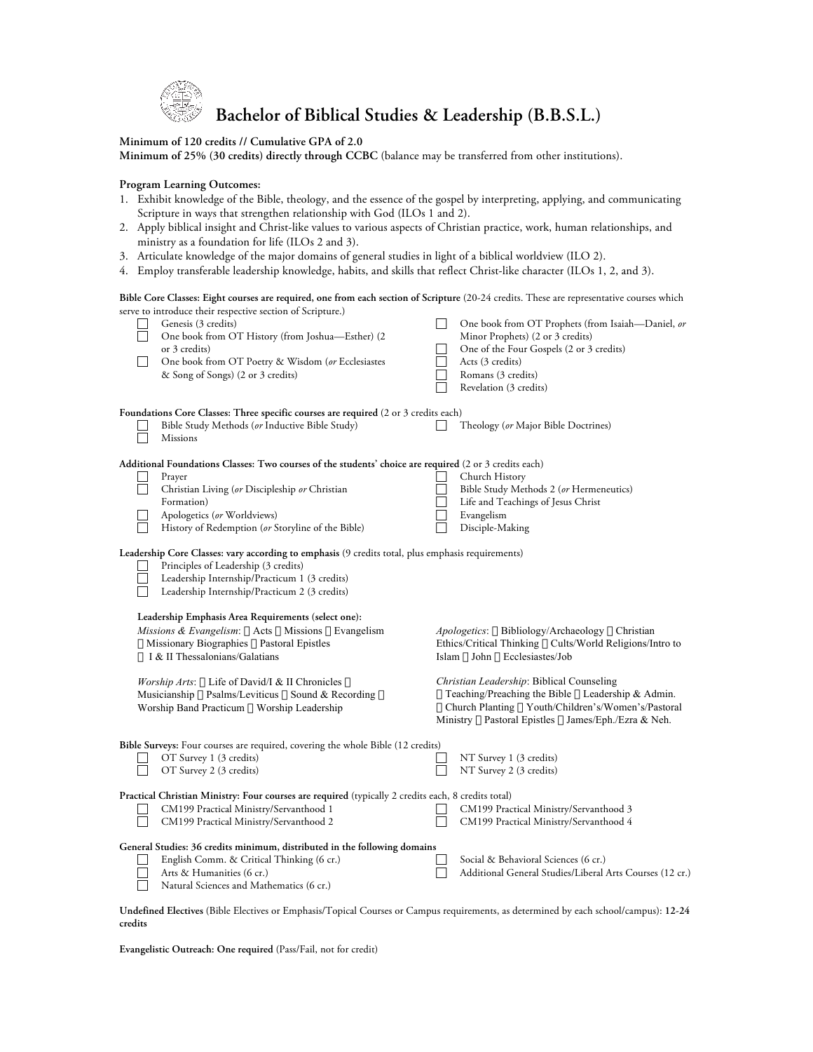

# **Bachelor of Biblical Studies & Leadership (B.B.S.L.)**

### **Minimum of 120 credits // Cumulative GPA of 2.0**

**Minimum of 25% (30 credits) directly through CCBC** (balance may be transferred from other institutions).

#### **Program Learning Outcomes:**

- 1. Exhibit knowledge of the Bible, theology, and the essence of the gospel by interpreting, applying, and communicating Scripture in ways that strengthen relationship with God (ILOs 1 and 2).
- 2. Apply biblical insight and Christ-like values to various aspects of Christian practice, work, human relationships, and ministry as a foundation for life (ILOs 2 and 3).
- 3. Articulate knowledge of the major domains of general studies in light of a biblical worldview (ILO 2).
- 4. Employ transferable leadership knowledge, habits, and skills that reflect Christ-like character (ILOs 1, 2, and 3).

#### **Bible Core Classes: Eight courses are required, one from each section of Scripture** (20-24 credits. These are representative courses which serve to introduce their respective section of Scripture.)

|  | Genesis (3 credits)<br>One book from OT History (from Joshua-Esther) (2<br>or 3 credits)<br>One book from OT Poetry & Wisdom (or Ecclesiastes<br>& Song of Songs) (2 or 3 credits)                                                          |  | One book from OT Prophets (from Isaiah-Daniel, or<br>Minor Prophets) (2 or 3 credits)<br>One of the Four Gospels (2 or 3 credits)<br>Acts (3 credits)<br>Romans (3 credits)<br>Revelation (3 credits) |
|--|---------------------------------------------------------------------------------------------------------------------------------------------------------------------------------------------------------------------------------------------|--|-------------------------------------------------------------------------------------------------------------------------------------------------------------------------------------------------------|
|  | Foundations Core Classes: Three specific courses are required (2 or 3 credits each)                                                                                                                                                         |  |                                                                                                                                                                                                       |
|  | Bible Study Methods (or Inductive Bible Study)<br><b>Missions</b>                                                                                                                                                                           |  | Theology (or Major Bible Doctrines)                                                                                                                                                                   |
|  | Additional Foundations Classes: Two courses of the students' choice are required (2 or 3 credits each)                                                                                                                                      |  |                                                                                                                                                                                                       |
|  | Prayer<br>Christian Living (or Discipleship or Christian                                                                                                                                                                                    |  | Church History<br>Bible Study Methods 2 (or Hermeneutics)                                                                                                                                             |
|  | Formation)                                                                                                                                                                                                                                  |  | Life and Teachings of Jesus Christ                                                                                                                                                                    |
|  | Apologetics (or Worldviews)                                                                                                                                                                                                                 |  | Evangelism                                                                                                                                                                                            |
|  | History of Redemption (or Storyline of the Bible)                                                                                                                                                                                           |  | Disciple-Making                                                                                                                                                                                       |
|  | Leadership Core Classes: vary according to emphasis (9 credits total, plus emphasis requirements)<br>Principles of Leadership (3 credits)<br>Leadership Internship/Practicum 1 (3 credits)<br>Leadership Internship/Practicum 2 (3 credits) |  |                                                                                                                                                                                                       |
|  | Leadership Emphasis Area Requirements (select one):<br>Missions & Evangelism: Acts Missions Evangelism<br>Missionary Biographies Pastoral Epistles<br>I & II Thessalonians/Galatians                                                        |  | Apologetics: Bibliology/Archaeology Christian<br>Ethics/Critical Thinking Cults/World Religions/Intro to<br>Islam John Ecclesiastes/Job                                                               |
|  | Worship Arts: Life of David/I & II Chronicles<br>Musicianship Psalms/Leviticus Sound & Recording                                                                                                                                            |  | Christian Leadership: Biblical Counseling<br>Teaching/Preaching the Bible Leadership & Admin.                                                                                                         |
|  | Worship Band Practicum Worship Leadership                                                                                                                                                                                                   |  | Church Planting Youth/Children's/Women's/Pastoral<br>Ministry Pastoral Epistles James/Eph./Ezra & Neh.                                                                                                |
|  | Bible Surveys: Four courses are required, covering the whole Bible (12 credits)                                                                                                                                                             |  |                                                                                                                                                                                                       |
|  | OT Survey 1 (3 credits)<br>OT Survey 2 (3 credits)                                                                                                                                                                                          |  | NT Survey 1 (3 credits)<br>NT Survey 2 (3 credits)                                                                                                                                                    |
|  | Practical Christian Ministry: Four courses are required (typically 2 credits each, 8 credits total)                                                                                                                                         |  |                                                                                                                                                                                                       |
|  | CM199 Practical Ministry/Servanthood 1<br>CM199 Practical Ministry/Servanthood 2                                                                                                                                                            |  | CM199 Practical Ministry/Servanthood 3<br>CM199 Practical Ministry/Servanthood 4                                                                                                                      |
|  | General Studies: 36 credits minimum, distributed in the following domains                                                                                                                                                                   |  |                                                                                                                                                                                                       |
|  | English Comm. & Critical Thinking (6 cr.)<br>Arts & Humanities (6 cr.)<br>Natural Sciences and Mathematics (6 cr.)                                                                                                                          |  | Social & Behavioral Sciences (6 cr.)<br>Additional General Studies/Liberal Arts Courses (12 cr.)                                                                                                      |

**Undefined Electives** (Bible Electives or Emphasis/Topical Courses or Campus requirements, as determined by each school/campus): **12-24 credits** 

**Evangelistic Outreach: One required** (Pass/Fail, not for credit)